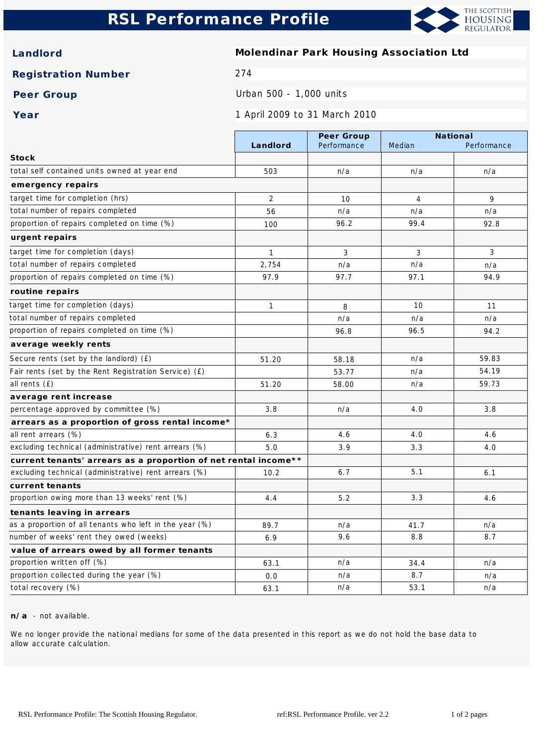# **RSL Performance Profile**



**Landlord Molendinar Park Housing Association Ltd**

**Registration Number** 274

Peer Group **Peer Group Peer Group** 

**Year** 1 April 2009 to 31 March 2010

|                                                                 |                | Peer Group  | National       |             |
|-----------------------------------------------------------------|----------------|-------------|----------------|-------------|
|                                                                 | Landlord       | Performance | Median         | Performance |
| <b>Stock</b>                                                    |                |             |                |             |
| total self contained units owned at year end                    | 503            | n/a         | n/a            | n/a         |
| emergency repairs                                               |                |             |                |             |
| target time for completion (hrs)                                | $\overline{2}$ | 10          | $\overline{4}$ | 9           |
| total number of repairs completed                               | 56             | n/a         | n/a            | n/a         |
| proportion of repairs completed on time (%)                     | 100            | 96.2        | 99.4           | 92.8        |
| urgent repairs                                                  |                |             |                |             |
| target time for completion (days)                               | $\mathbf{1}$   | 3           | 3              | 3           |
| total number of repairs completed                               | 2,754          | n/a         | n/a            | n/a         |
| proportion of repairs completed on time (%)                     | 97.9           | 97.7        | 97.1           | 94.9        |
| routine repairs                                                 |                |             |                |             |
| target time for completion (days)                               | $\mathbf{1}$   | 8           | 10             | 11          |
| total number of repairs completed                               |                | n/a         | n/a            | n/a         |
| proportion of repairs completed on time (%)                     |                | 96.8        | 96.5           | 94.2        |
| average weekly rents                                            |                |             |                |             |
| Secure rents (set by the landlord) (£)                          | 51.20          | 58.18       | n/a            | 59.83       |
| Fair rents (set by the Rent Registration Service) (£)           |                | 53.77       | n/a            | 54.19       |
| all rents (£)                                                   | 51.20          | 58.00       | n/a            | 59.73       |
| average rent increase                                           |                |             |                |             |
| percentage approved by committee (%)                            | 3.8            | n/a         | 4.0            | 3.8         |
| arrears as a proportion of gross rental income*                 |                |             |                |             |
| all rent arrears (%)                                            | 6.3            | 4.6         | 4.0            | 4.6         |
| excluding technical (administrative) rent arrears (%)           | 5.0            | 3.9         | 3.3            | 4.0         |
| current tenants' arrears as a proportion of net rental income** |                |             |                |             |
| excluding technical (administrative) rent arrears (%)           | 10.2           | 6.7         | 5.1            | 6.1         |
| current tenants                                                 |                |             |                |             |
| proportion owing more than 13 weeks' rent (%)                   | 4.4            | 5.2         | 3.3            | 4.6         |
| tenants leaving in arrears                                      |                |             |                |             |
| as a proportion of all tenants who left in the year (%)         | 89.7           | n/a         | 41.7           | n/a         |
| number of weeks' rent they owed (weeks)                         | 6.9            | 9.6         | 8.8            | 8.7         |
| value of arrears owed by all former tenants                     |                |             |                |             |
| proportion written off (%)                                      | 63.1           | n/a         | 34.4           | n/a         |
| proportion collected during the year (%)                        | 0.0            | n/a         | 8.7            | n/a         |
| total recovery (%)                                              | 63.1           | n/a         | 53.1           | n/a         |

**n/a** - not available.

We no longer provide the national medians for some of the data presented in this report as we do not hold the base data to allow accurate calculation.